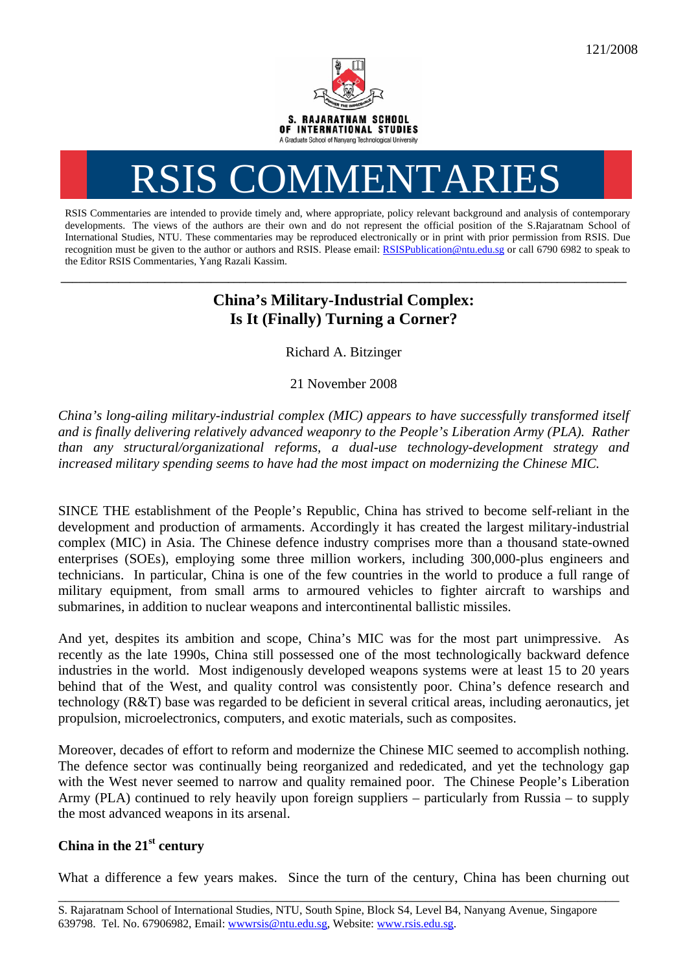

# RSIS COMMENTARIES

RSIS Commentaries are intended to provide timely and, where appropriate, policy relevant background and analysis of contemporary developments. The views of the authors are their own and do not represent the official position of the S.Rajaratnam School of International Studies, NTU. These commentaries may be reproduced electronically or in print with prior permission from RSIS. Due recognition must be given to the author or authors and RSIS. Please email: [RSISPublication@ntu.edu.sg](mailto:RSISPublication@ntu.edu.sg) or call 6790 6982 to speak to the Editor RSIS Commentaries, Yang Razali Kassim.

## **China's Military-Industrial Complex: Is It (Finally) Turning a Corner?**

**\_\_\_\_\_\_\_\_\_\_\_\_\_\_\_\_\_\_\_\_\_\_\_\_\_\_\_\_\_\_\_\_\_\_\_\_\_\_\_\_\_\_\_\_\_\_\_\_\_\_\_\_\_\_\_\_\_\_\_\_\_\_\_\_\_\_\_\_\_\_\_\_\_\_\_\_\_\_\_\_\_\_\_\_\_\_\_\_\_\_\_\_\_\_\_\_\_\_** 

Richard A. Bitzinger

21 November 2008

*China's long-ailing military-industrial complex (MIC) appears to have successfully transformed itself and is finally delivering relatively advanced weaponry to the People's Liberation Army (PLA). Rather than any structural/organizational reforms, a dual-use technology-development strategy and increased military spending seems to have had the most impact on modernizing the Chinese MIC.* 

SINCE THE establishment of the People's Republic, China has strived to become self-reliant in the development and production of armaments. Accordingly it has created the largest military-industrial complex (MIC) in Asia. The Chinese defence industry comprises more than a thousand state-owned enterprises (SOEs), employing some three million workers, including 300,000-plus engineers and technicians. In particular, China is one of the few countries in the world to produce a full range of military equipment, from small arms to armoured vehicles to fighter aircraft to warships and submarines, in addition to nuclear weapons and intercontinental ballistic missiles.

And yet, despites its ambition and scope, China's MIC was for the most part unimpressive. As recently as the late 1990s, China still possessed one of the most technologically backward defence industries in the world. Most indigenously developed weapons systems were at least 15 to 20 years behind that of the West, and quality control was consistently poor. China's defence research and technology (R&T) base was regarded to be deficient in several critical areas, including aeronautics, jet propulsion, microelectronics, computers, and exotic materials, such as composites.

Moreover, decades of effort to reform and modernize the Chinese MIC seemed to accomplish nothing. The defence sector was continually being reorganized and rededicated, and yet the technology gap with the West never seemed to narrow and quality remained poor. The Chinese People's Liberation Army (PLA) continued to rely heavily upon foreign suppliers – particularly from Russia – to supply the most advanced weapons in its arsenal.

### **China in the 21st century**

What a difference a few years makes. Since the turn of the century, China has been churning out \_\_\_\_\_\_\_\_\_\_\_\_\_\_\_\_\_\_\_\_\_\_\_\_\_\_\_\_\_\_\_\_\_\_\_\_\_\_\_\_\_\_\_\_\_\_\_\_\_\_\_\_\_\_\_\_\_\_\_\_\_\_\_\_\_\_\_\_\_\_\_\_\_\_\_\_\_\_\_\_\_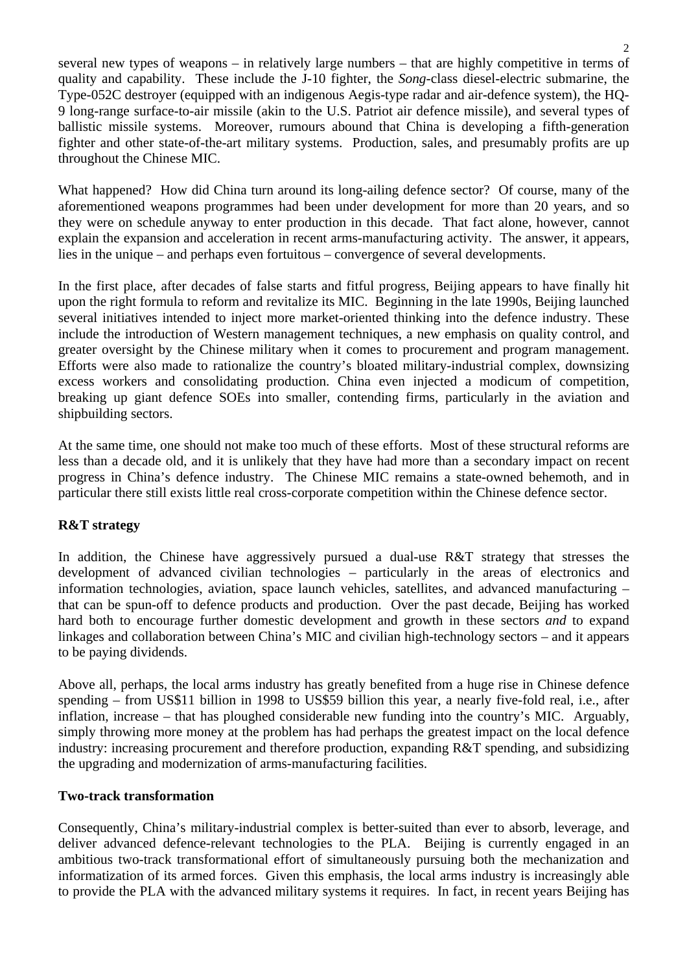several new types of weapons – in relatively large numbers – that are highly competitive in terms of quality and capability. These include the J-10 fighter, the *Song*-class diesel-electric submarine, the Type-052C destroyer (equipped with an indigenous Aegis-type radar and air-defence system), the HQ-9 long-range surface-to-air missile (akin to the U.S. Patriot air defence missile), and several types of ballistic missile systems. Moreover, rumours abound that China is developing a fifth-generation fighter and other state-of-the-art military systems. Production, sales, and presumably profits are up throughout the Chinese MIC.

What happened? How did China turn around its long-ailing defence sector? Of course, many of the aforementioned weapons programmes had been under development for more than 20 years, and so they were on schedule anyway to enter production in this decade. That fact alone, however, cannot explain the expansion and acceleration in recent arms-manufacturing activity. The answer, it appears, lies in the unique – and perhaps even fortuitous – convergence of several developments.

In the first place, after decades of false starts and fitful progress, Beijing appears to have finally hit upon the right formula to reform and revitalize its MIC. Beginning in the late 1990s, Beijing launched several initiatives intended to inject more market-oriented thinking into the defence industry. These include the introduction of Western management techniques, a new emphasis on quality control, and greater oversight by the Chinese military when it comes to procurement and program management. Efforts were also made to rationalize the country's bloated military-industrial complex, downsizing excess workers and consolidating production. China even injected a modicum of competition, breaking up giant defence SOEs into smaller, contending firms, particularly in the aviation and shipbuilding sectors.

At the same time, one should not make too much of these efforts. Most of these structural reforms are less than a decade old, and it is unlikely that they have had more than a secondary impact on recent progress in China's defence industry. The Chinese MIC remains a state-owned behemoth, and in particular there still exists little real cross-corporate competition within the Chinese defence sector.

#### **R&T strategy**

In addition, the Chinese have aggressively pursued a dual-use R&T strategy that stresses the development of advanced civilian technologies – particularly in the areas of electronics and information technologies, aviation, space launch vehicles, satellites, and advanced manufacturing – that can be spun-off to defence products and production. Over the past decade, Beijing has worked hard both to encourage further domestic development and growth in these sectors *and* to expand linkages and collaboration between China's MIC and civilian high-technology sectors – and it appears to be paying dividends.

Above all, perhaps, the local arms industry has greatly benefited from a huge rise in Chinese defence spending – from US\$11 billion in 1998 to US\$59 billion this year, a nearly five-fold real, i.e., after inflation, increase – that has ploughed considerable new funding into the country's MIC. Arguably, simply throwing more money at the problem has had perhaps the greatest impact on the local defence industry: increasing procurement and therefore production, expanding R&T spending, and subsidizing the upgrading and modernization of arms-manufacturing facilities.

#### **Two-track transformation**

Consequently, China's military-industrial complex is better-suited than ever to absorb, leverage, and deliver advanced defence-relevant technologies to the PLA. Beijing is currently engaged in an ambitious two-track transformational effort of simultaneously pursuing both the mechanization and informatization of its armed forces. Given this emphasis, the local arms industry is increasingly able to provide the PLA with the advanced military systems it requires. In fact, in recent years Beijing has